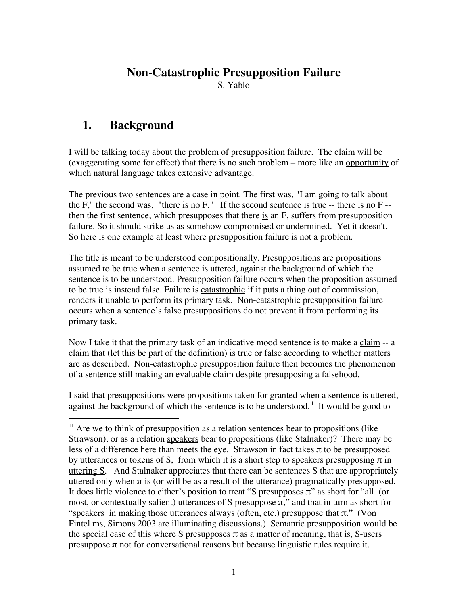# **Non-Catastrophic Presupposition Failure**

S. Yablo

# **1. Background**

I will be talking today about the problem of presupposition failure. The claim will be (exaggerating some for effect) that there is no such problem – more like an opportunity of which natural language takes extensive advantage.

The previous two sentences are a case in point. The first was, "I am going to talk about the  $F$ ," the second was, "there is no  $F$ ." If the second sentence is true -- there is no  $F$ -then the first sentence, which presupposes that there is an F, suffers from presupposition failure. So it should strike us as somehow compromised or undermined. Yet it doesn't. So here is one example at least where presupposition failure is not a problem.

The title is meant to be understood compositionally. Presuppositions are propositions assumed to be true when a sentence is uttered, against the background of which the sentence is to be understood. Presupposition failure occurs when the proposition assumed to be true is instead false. Failure is catastrophic if it puts a thing out of commission, renders it unable to perform its primary task. Non-catastrophic presupposition failure occurs when a sentence's false presuppositions do not prevent it from performing its primary task.

Now I take it that the primary task of an indicative mood sentence is to make a claim -- a claim that (let this be part of the definition) is true or false according to whether matters are as described. Non-catastrophic presupposition failure then becomes the phenomenon of a sentence still making an evaluable claim despite presupposing a falsehood.

I said that presuppositions were propositions taken for granted when a sentence is uttered, against the background of which the sentence is to be understood.<sup>1</sup> It would be good to

<sup>&</sup>lt;sup>11</sup> Are we to think of presupposition as a relation sentences bear to propositions (like Strawson), or as a relation speakers bear to propositions (like Stalnaker)? There may be less of a difference here than meets the eye. Strawson in fact takes  $\pi$  to be presupposed by utterances or tokens of S, from which it is a short step to speakers presupposing  $\pi$  in uttering S. And Stalnaker appreciates that there can be sentences S that are appropriately uttered only when  $\pi$  is (or will be as a result of the utterance) pragmatically presupposed. It does little violence to either's position to treat "S presupposes  $\pi$ " as short for "all (or most, or contextually salient) utterances of S presuppose  $\pi$ ," and that in turn as short for "speakers in making those utterances always (often, etc.) presuppose that  $\pi$ ." (Von Fintel ms, Simons 2003 are illuminating discussions.) Semantic presupposition would be the special case of this where S presupposes  $\pi$  as a matter of meaning, that is, S-users presuppose  $\pi$  not for conversational reasons but because linguistic rules require it.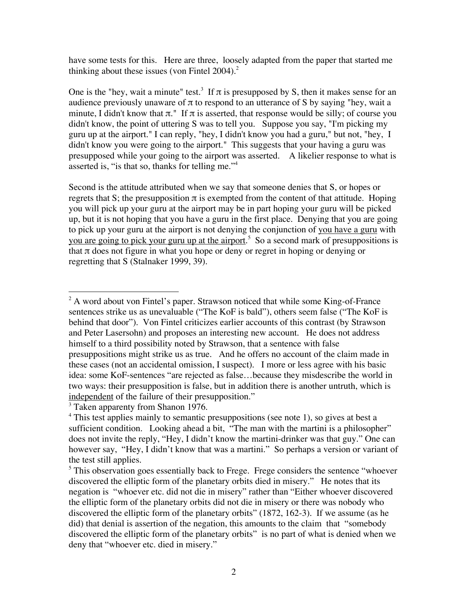have some tests for this. Here are three, loosely adapted from the paper that started me thinking about these issues (von Fintel  $2004$ )<sup>2</sup>

One is the "hey, wait a minute" test.<sup>3</sup> If  $\pi$  is presupposed by S, then it makes sense for an audience previously unaware of  $\pi$  to respond to an utterance of S by saying "hey, wait a minute, I didn't know that  $\pi$ ." If  $\pi$  is asserted, that response would be silly; of course you didn't know, the point of uttering S was to tell you. Suppose you say, "I'm picking my guru up at the airport." I can reply, "hey, I didn't know you had a guru," but not, "hey, I didn't know you were going to the airport." This suggests that your having a guru was presupposed while your going to the airport was asserted. A likelier response to what is asserted is, "is that so, thanks for telling me."<sup>4</sup>

Second is the attitude attributed when we say that someone denies that S, or hopes or regrets that S; the presupposition  $\pi$  is exempted from the content of that attitude. Hoping you will pick up your guru at the airport may be in part hoping your guru will be picked up, but it is not hoping that you have a guru in the first place. Denying that you are going to pick up your guru at the airport is not denying the conjunction of you have a guru with you are going to pick your guru up at the airport.<sup>5</sup> So a second mark of presuppositions is that  $\pi$  does not figure in what you hope or deny or regret in hoping or denying or regretting that S (Stalnaker 1999, 39).

 $\frac{1}{2}$  $A^2$  A word about von Fintel's paper. Strawson noticed that while some King-of-France sentences strike us as unevaluable ("The KoF is bald"), others seem false ("The KoF is behind that door"). Von Fintel criticizes earlier accounts of this contrast (by Strawson and Peter Lasersohn) and proposes an interesting new account. He does not address himself to a third possibility noted by Strawson, that a sentence with false presuppositions might strike us as true. And he offers no account of the claim made in these cases (not an accidental omission, I suspect). I more or less agree with his basic idea: some KoF-sentences "are rejected as false…because they misdescribe the world in two ways: their presupposition is false, but in addition there is another untruth, which is independent of the failure of their presupposition."

<sup>&</sup>lt;sup>3</sup> Taken apparenty from Shanon 1976.

<sup>&</sup>lt;sup>4</sup> This test applies mainly to semantic presuppositions (see note 1), so gives at best a sufficient condition. Looking ahead a bit, "The man with the martini is a philosopher" does not invite the reply, "Hey, I didn't know the martini-drinker was that guy." One can however say, "Hey, I didn't know that was a martini." So perhaps a version or variant of the test still applies.

<sup>&</sup>lt;sup>5</sup> This observation goes essentially back to Frege. Frege considers the sentence "whoever discovered the elliptic form of the planetary orbits died in misery." He notes that its negation is "whoever etc. did not die in misery" rather than "Either whoever discovered the elliptic form of the planetary orbits did not die in misery or there was nobody who discovered the elliptic form of the planetary orbits" (1872, 162-3). If we assume (as he did) that denial is assertion of the negation, this amounts to the claim that "somebody discovered the elliptic form of the planetary orbits" is no part of what is denied when we deny that "whoever etc. died in misery."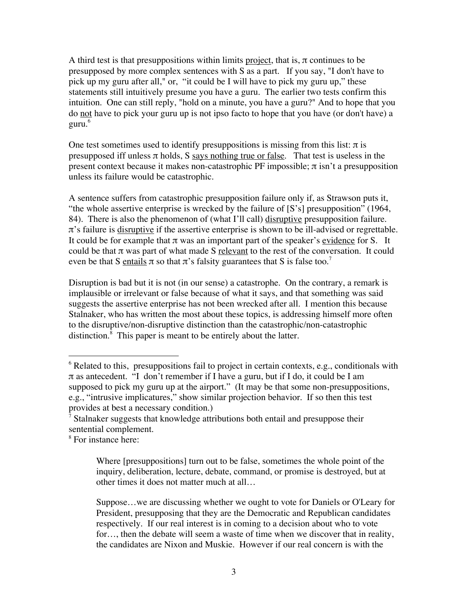A third test is that presuppositions within limits project, that is,  $\pi$  continues to be presupposed by more complex sentences with S as a part. If you say, "I don't have to pick up my guru after all," or, "it could be I will have to pick my guru up," these statements still intuitively presume you have a guru. The earlier two tests confirm this intuition. One can still reply, "hold on a minute, you have a guru?" And to hope that you do not have to pick your guru up is not ipso facto to hope that you have (or don't have) a guru.<sup>6</sup>

One test sometimes used to identify presuppositions is missing from this list:  $\pi$  is presupposed iff unless  $\pi$  holds, S says nothing true or false. That test is useless in the present context because it makes non-catastrophic PF impossible;  $\pi$  isn't a presupposition unless its failure would be catastrophic.

A sentence suffers from catastrophic presupposition failure only if, as Strawson puts it, "the whole assertive enterprise is wrecked by the failure of [S's] presupposition" (1964, 84). There is also the phenomenon of (what I'll call) disruptive presupposition failure.  $\pi$ 's failure is disruptive if the assertive enterprise is shown to be ill-advised or regrettable. It could be for example that  $\pi$  was an important part of the speaker's evidence for S. It could be that  $\pi$  was part of what made S relevant to the rest of the conversation. It could even be that S entails  $\pi$  so that  $\pi$ 's falsity guarantees that S is false too.<sup>7</sup>

Disruption is bad but it is not (in our sense) a catastrophe. On the contrary, a remark is implausible or irrelevant or false because of what it says, and that something was said suggests the assertive enterprise has not been wrecked after all. I mention this because Stalnaker, who has written the most about these topics, is addressing himself more often to the disruptive/non-disruptive distinction than the catastrophic/non-catastrophic distinction.<sup>8</sup> This paper is meant to be entirely about the latter.

Where [presuppositions] turn out to be false, sometimes the whole point of the inquiry, deliberation, lecture, debate, command, or promise is destroyed, but at other times it does not matter much at all…

Suppose…we are discussing whether we ought to vote for Daniels or O'Leary for President, presupposing that they are the Democratic and Republican candidates respectively. If our real interest is in coming to a decision about who to vote for…, then the debate will seem a waste of time when we discover that in reality, the candidates are Nixon and Muskie. However if our real concern is with the

 <sup>6</sup>  $6$  Related to this, presuppositions fail to project in certain contexts, e.g., conditionals with π as antecedent. "I don't remember if I have a guru, but if I do, it could be I am supposed to pick my guru up at the airport." (It may be that some non-presuppositions, e.g., "intrusive implicatures," show similar projection behavior. If so then this test provides at best a necessary condition.)

<sup>7</sup> Stalnaker suggests that knowledge attributions both entail and presuppose their sentential complement.

<sup>8</sup> For instance here: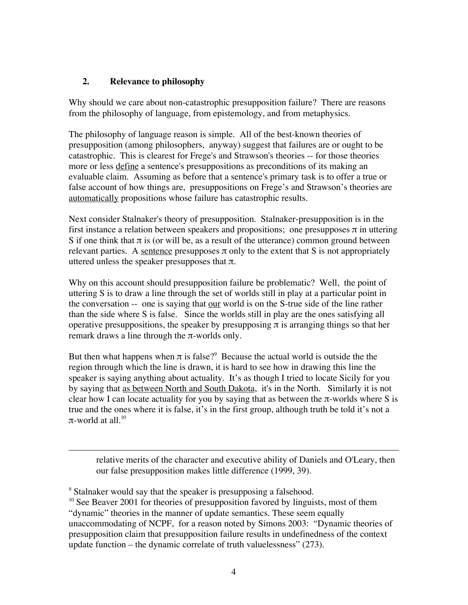# **2. Relevance to philosophy**

Why should we care about non-catastrophic presupposition failure? There are reasons from the philosophy of language, from epistemology, and from metaphysics.

The philosophy of language reason is simple. All of the best-known theories of presupposition (among philosophers, anyway) suggest that failures are or ought to be catastrophic. This is clearest for Frege's and Strawson's theories -- for those theories more or less define a sentence's presuppositions as preconditions of its making an evaluable claim. Assuming as before that a sentence's primary task is to offer a true or false account of how things are, presuppositions on Frege's and Strawson's theories are automatically propositions whose failure has catastrophic results.

Next consider Stalnaker's theory of presupposition. Stalnaker-presupposition is in the first instance a relation between speakers and propositions; one presupposes  $\pi$  in uttering S if one think that  $\pi$  is (or will be, as a result of the utterance) common ground between relevant parties. A sentence presupposes  $\pi$  only to the extent that S is not appropriately uttered unless the speaker presupposes that  $\pi$ .

Why on this account should presupposition failure be problematic? Well, the point of uttering S is to draw a line through the set of worlds still in play at a particular point in the conversation -- one is saying that our world is on the S-true side of the line rather than the side where S is false. Since the worlds still in play are the ones satisfying all operative presuppositions, the speaker by presupposing  $\pi$  is arranging things so that her remark draws a line through the π-worlds only.

But then what happens when  $\pi$  is false?<sup>9</sup> Because the actual world is outside the the region through which the line is drawn, it is hard to see how in drawing this line the speaker is saying anything about actuality. It's as though I tried to locate Sicily for you by saying that as between North and South Dakota, it's in the North. Similarly it is not clear how I can locate actuality for you by saying that as between the  $\pi$ -worlds where S is true and the ones where it is false, it's in the first group, although truth be told it's not a π-world at all. $10^{10}$ 

relative merits of the character and executive ability of Daniels and O'Leary, then our false presupposition makes little difference (1999, 39).

 $\overline{a}$ 

<sup>&</sup>lt;sup>9</sup> Stalnaker would say that the speaker is presupposing a falsehood.

<sup>&</sup>lt;sup>10</sup> See Beaver 2001 for theories of presupposition favored by linguists, most of them "dynamic" theories in the manner of update semantics. These seem equally unaccommodating of NCPF, for a reason noted by Simons 2003: "Dynamic theories of presupposition claim that presupposition failure results in undefinedness of the context update function – the dynamic correlate of truth valuelessness" (273).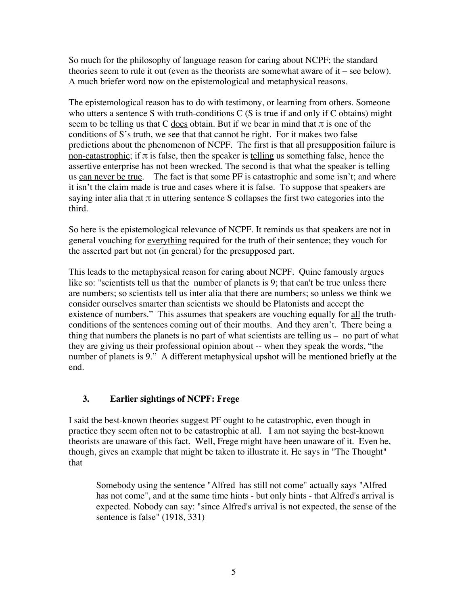So much for the philosophy of language reason for caring about NCPF; the standard theories seem to rule it out (even as the theorists are somewhat aware of it – see below). A much briefer word now on the epistemological and metaphysical reasons.

The epistemological reason has to do with testimony, or learning from others. Someone who utters a sentence S with truth-conditions  $C(S)$  is true if and only if  $C$  obtains) might seem to be telling us that C does obtain. But if we bear in mind that  $\pi$  is one of the conditions of S's truth, we see that that cannot be right. For it makes two false predictions about the phenomenon of NCPF. The first is that all presupposition failure is non-catastrophic; if  $\pi$  is false, then the speaker is telling us something false, hence the assertive enterprise has not been wrecked. The second is that what the speaker is telling us can never be true. The fact is that some PF is catastrophic and some isn't; and where it isn't the claim made is true and cases where it is false. To suppose that speakers are saying inter alia that  $\pi$  in uttering sentence S collapses the first two categories into the third.

So here is the epistemological relevance of NCPF. It reminds us that speakers are not in general vouching for everything required for the truth of their sentence; they vouch for the asserted part but not (in general) for the presupposed part.

This leads to the metaphysical reason for caring about NCPF. Quine famously argues like so: "scientists tell us that the number of planets is 9; that can't be true unless there are numbers; so scientists tell us inter alia that there are numbers; so unless we think we consider ourselves smarter than scientists we should be Platonists and accept the existence of numbers." This assumes that speakers are vouching equally for all the truthconditions of the sentences coming out of their mouths. And they aren't. There being a thing that numbers the planets is no part of what scientists are telling us – no part of what they are giving us their professional opinion about -- when they speak the words, "the number of planets is 9." A different metaphysical upshot will be mentioned briefly at the end.

# **3. Earlier sightings of NCPF: Frege**

I said the best-known theories suggest PF <u>ought</u> to be catastrophic, even though in practice they seem often not to be catastrophic at all. I am not saying the best-known theorists are unaware of this fact. Well, Frege might have been unaware of it. Even he, though, gives an example that might be taken to illustrate it. He says in "The Thought" that

Somebody using the sentence "Alfred has still not come" actually says "Alfred has not come", and at the same time hints - but only hints - that Alfred's arrival is expected. Nobody can say: "since Alfred's arrival is not expected, the sense of the sentence is false" (1918, 331)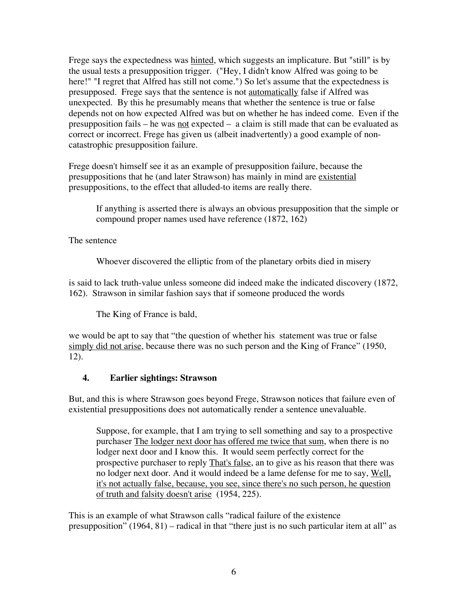Frege says the expectedness was hinted, which suggests an implicature. But "still" is by the usual tests a presupposition trigger. ("Hey, I didn't know Alfred was going to be here!" "I regret that Alfred has still not come.") So let's assume that the expectedness is presupposed. Frege says that the sentence is not automatically false if Alfred was unexpected. By this he presumably means that whether the sentence is true or false depends not on how expected Alfred was but on whether he has indeed come. Even if the presupposition fails – he was not expected – a claim is still made that can be evaluated as correct or incorrect. Frege has given us (albeit inadvertently) a good example of noncatastrophic presupposition failure.

Frege doesn't himself see it as an example of presupposition failure, because the presuppositions that he (and later Strawson) has mainly in mind are existential presuppositions, to the effect that alluded-to items are really there.

If anything is asserted there is always an obvious presupposition that the simple or compound proper names used have reference (1872, 162)

The sentence

Whoever discovered the elliptic from of the planetary orbits died in misery

is said to lack truth-value unless someone did indeed make the indicated discovery (1872, 162). Strawson in similar fashion says that if someone produced the words

The King of France is bald,

we would be apt to say that "the question of whether his statement was true or false simply did not arise, because there was no such person and the King of France" (1950, 12).

# **4. Earlier sightings: Strawson**

But, and this is where Strawson goes beyond Frege, Strawson notices that failure even of existential presuppositions does not automatically render a sentence unevaluable.

Suppose, for example, that I am trying to sell something and say to a prospective purchaser The lodger next door has offered me twice that sum, when there is no lodger next door and I know this. It would seem perfectly correct for the prospective purchaser to reply That's false, an to give as his reason that there was no lodger next door. And it would indeed be a lame defense for me to say, Well, it's not actually false, because, you see, since there's no such person, he question of truth and falsity doesn't arise (1954, 225).

This is an example of what Strawson calls "radical failure of the existence presupposition" (1964, 81) – radical in that "there just is no such particular item at all" as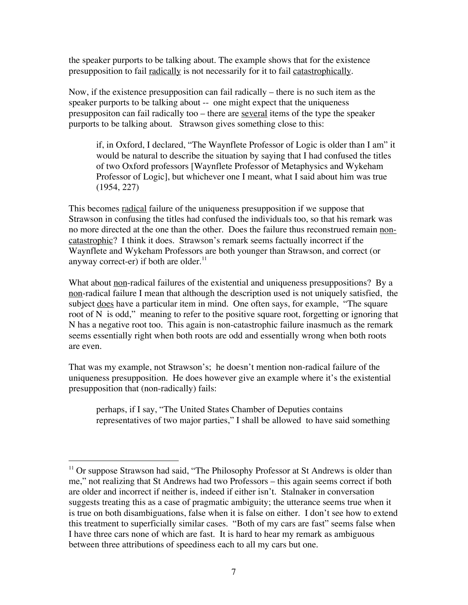the speaker purports to be talking about. The example shows that for the existence presupposition to fail radically is not necessarily for it to fail catastrophically.

Now, if the existence presupposition can fail radically – there is no such item as the speaker purports to be talking about -- one might expect that the uniqueness presuppositon can fail radically too – there are several items of the type the speaker purports to be talking about. Strawson gives something close to this:

if, in Oxford, I declared, "The Waynflete Professor of Logic is older than I am" it would be natural to describe the situation by saying that I had confused the titles of two Oxford professors [Waynflete Professor of Metaphysics and Wykeham Professor of Logic], but whichever one I meant, what I said about him was true (1954, 227)

This becomes radical failure of the uniqueness presupposition if we suppose that Strawson in confusing the titles had confused the individuals too, so that his remark was no more directed at the one than the other. Does the failure thus reconstrued remain noncatastrophic? I think it does. Strawson's remark seems factually incorrect if the Waynflete and Wykeham Professors are both younger than Strawson, and correct (or anyway correct-er) if both are older. $^{11}$ 

What about <u>non</u>-radical failures of the existential and uniqueness presuppositions? By a non-radical failure I mean that although the description used is not uniquely satisfied, the subject does have a particular item in mind. One often says, for example, "The square root of N is odd," meaning to refer to the positive square root, forgetting or ignoring that N has a negative root too. This again is non-catastrophic failure inasmuch as the remark seems essentially right when both roots are odd and essentially wrong when both roots are even.

That was my example, not Strawson's; he doesn't mention non-radical failure of the uniqueness presupposition. He does however give an example where it's the existential presupposition that (non-radically) fails:

perhaps, if I say, "The United States Chamber of Deputies contains representatives of two major parties," I shall be allowed to have said something

<sup>&</sup>lt;sup>11</sup> Or suppose Strawson had said, "The Philosophy Professor at St Andrews is older than me," not realizing that St Andrews had two Professors – this again seems correct if both are older and incorrect if neither is, indeed if either isn't. Stalnaker in conversation suggests treating this as a case of pragmatic ambiguity; the utterance seems true when it is true on both disambiguations, false when it is false on either. I don't see how to extend this treatment to superficially similar cases. "Both of my cars are fast" seems false when I have three cars none of which are fast. It is hard to hear my remark as ambiguous between three attributions of speediness each to all my cars but one.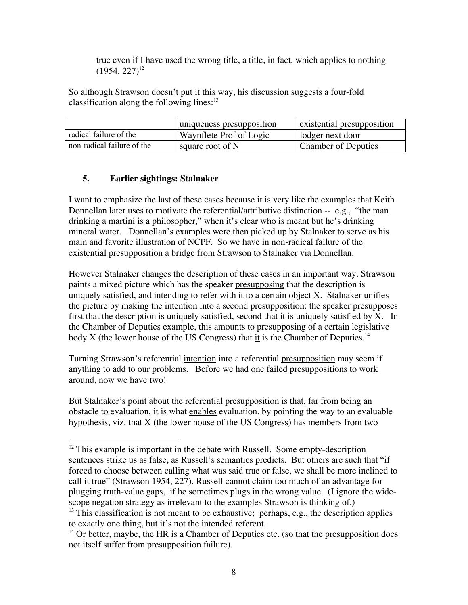true even if I have used the wrong title, a title, in fact, which applies to nothing  $(1954, 227)^{12}$ 

So although Strawson doesn't put it this way, his discussion suggests a four-fold classification along the following lines: $^{13}$ 

|                            | uniqueness presupposition | existential presupposition |
|----------------------------|---------------------------|----------------------------|
| radical failure of the     | Waynflete Prof of Logic   | lodger next door           |
| non-radical failure of the | square root of N          | <b>Chamber of Deputies</b> |

# **5. Earlier sightings: Stalnaker**

I want to emphasize the last of these cases because it is very like the examples that Keith Donnellan later uses to motivate the referential/attributive distinction -- e.g., "the man drinking a martini is a philosopher," when it's clear who is meant but he's drinking mineral water. Donnellan's examples were then picked up by Stalnaker to serve as his main and favorite illustration of NCPF. So we have in non-radical failure of the existential presupposition a bridge from Strawson to Stalnaker via Donnellan.

However Stalnaker changes the description of these cases in an important way. Strawson paints a mixed picture which has the speaker presupposing that the description is uniquely satisfied, and intending to refer with it to a certain object X. Stalnaker unifies the picture by making the intention into a second presupposition: the speaker presupposes first that the description is uniquely satisfied, second that it is uniquely satisfied by X. In the Chamber of Deputies example, this amounts to presupposing of a certain legislative body X (the lower house of the US Congress) that it is the Chamber of Deputies.<sup>14</sup>

Turning Strawson's referential intention into a referential presupposition may seem if anything to add to our problems. Before we had one failed presuppositions to work around, now we have two!

But Stalnaker's point about the referential presupposition is that, far from being an obstacle to evaluation, it is what enables evaluation, by pointing the way to an evaluable hypothesis, viz. that X (the lower house of the US Congress) has members from two

<sup>&</sup>lt;sup>12</sup> This example is important in the debate with Russell. Some empty-description sentences strike us as false, as Russell's semantics predicts. But others are such that "if forced to choose between calling what was said true or false, we shall be more inclined to call it true" (Strawson 1954, 227). Russell cannot claim too much of an advantage for plugging truth-value gaps, if he sometimes plugs in the wrong value. (I ignore the widescope negation strategy as irrelevant to the examples Strawson is thinking of.)  $<sup>13</sup>$  This classification is not meant to be exhaustive; perhaps, e.g., the description applies</sup>

to exactly one thing, but it's not the intended referent.

 $14$  Or better, maybe, the HR is a Chamber of Deputies etc. (so that the presupposition does not itself suffer from presupposition failure).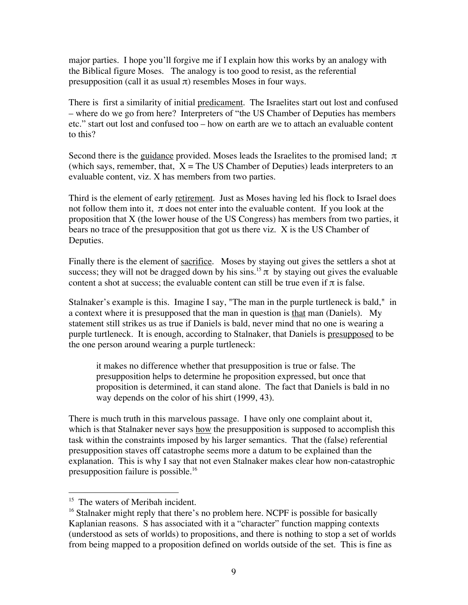major parties. I hope you'll forgive me if I explain how this works by an analogy with the Biblical figure Moses. The analogy is too good to resist, as the referential presupposition (call it as usual  $\pi$ ) resembles Moses in four ways.

There is first a similarity of initial predicament. The Israelites start out lost and confused – where do we go from here? Interpreters of "the US Chamber of Deputies has members etc." start out lost and confused too – how on earth are we to attach an evaluable content to this?

Second there is the guidance provided. Moses leads the Israelites to the promised land;  $\pi$ (which says, remember, that,  $X =$  The US Chamber of Deputies) leads interpreters to an evaluable content, viz. X has members from two parties.

Third is the element of early retirement. Just as Moses having led his flock to Israel does not follow them into it,  $\pi$  does not enter into the evaluable content. If you look at the proposition that X (the lower house of the US Congress) has members from two parties, it bears no trace of the presupposition that got us there viz. X is the US Chamber of Deputies.

Finally there is the element of sacrifice. Moses by staying out gives the settlers a shot at success; they will not be dragged down by his sins.<sup>15</sup>  $\pi$  by staying out gives the evaluable content a shot at success; the evaluable content can still be true even if  $\pi$  is false.

Stalnaker's example is this. Imagine I say, "The man in the purple turtleneck is bald," in a context where it is presupposed that the man in question is that man (Daniels). My statement still strikes us as true if Daniels is bald, never mind that no one is wearing a purple turtleneck. It is enough, according to Stalnaker, that Daniels is presupposed to be the one person around wearing a purple turtleneck:

it makes no difference whether that presupposition is true or false. The presupposition helps to determine he proposition expressed, but once that proposition is determined, it can stand alone. The fact that Daniels is bald in no way depends on the color of his shirt (1999, 43).

There is much truth in this marvelous passage. I have only one complaint about it, which is that Stalnaker never says how the presupposition is supposed to accomplish this task within the constraints imposed by his larger semantics. That the (false) referential presupposition staves off catastrophe seems more a datum to be explained than the explanation. This is why I say that not even Stalnaker makes clear how non-catastrophic presupposition failure is possible.16

<sup>&</sup>lt;sup>15</sup> The waters of Meribah incident.

<sup>&</sup>lt;sup>16</sup> Stalnaker might reply that there's no problem here. NCPF is possible for basically Kaplanian reasons. S has associated with it a "character" function mapping contexts (understood as sets of worlds) to propositions, and there is nothing to stop a set of worlds from being mapped to a proposition defined on worlds outside of the set. This is fine as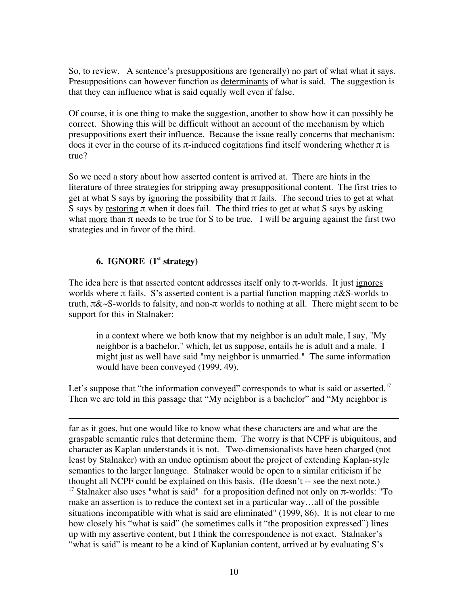So, to review. A sentence's presuppositions are (generally) no part of what what it says. Presuppositions can however function as determinants of what is said. The suggestion is that they can influence what is said equally well even if false.

Of course, it is one thing to make the suggestion, another to show how it can possibly be correct. Showing this will be difficult without an account of the mechanism by which presuppositions exert their influence. Because the issue really concerns that mechanism: does it ever in the course of its  $\pi$ -induced cogitations find itself wondering whether  $\pi$  is true?

So we need a story about how asserted content is arrived at. There are hints in the literature of three strategies for stripping away presuppositional content. The first tries to get at what S says by ignoring the possibility that  $\pi$  fails. The second tries to get at what S says by restoring  $\pi$  when it does fail. The third tries to get at what S says by asking what more than  $\pi$  needs to be true for S to be true. I will be arguing against the first two strategies and in favor of the third.

# **6. IGNORE (1st strategy)**

 $\overline{a}$ 

The idea here is that asserted content addresses itself only to  $\pi$ -worlds. It just ignores worlds where  $\pi$  fails. S's asserted content is a partial function mapping  $\pi \& S$ -worlds to truth,  $\pi \& \sim S$ -worlds to falsity, and non- $\pi$  worlds to nothing at all. There might seem to be support for this in Stalnaker:

in a context where we both know that my neighbor is an adult male, I say, "My neighbor is a bachelor," which, let us suppose, entails he is adult and a male. I might just as well have said "my neighbor is unmarried." The same information would have been conveyed (1999, 49).

Let's suppose that "the information conveyed" corresponds to what is said or asserted.<sup>17</sup> Then we are told in this passage that "My neighbor is a bachelor" and "My neighbor is

far as it goes, but one would like to know what these characters are and what are the graspable semantic rules that determine them. The worry is that NCPF is ubiquitous, and character as Kaplan understands it is not. Two-dimensionalists have been charged (not least by Stalnaker) with an undue optimism about the project of extending Kaplan-style semantics to the larger language. Stalnaker would be open to a similar criticism if he thought all NCPF could be explained on this basis. (He doesn't -- see the next note.) <sup>17</sup> Stalnaker also uses "what is said" for a proposition defined not only on π-worlds: "To make an assertion is to reduce the context set in a particular way…all of the possible situations incompatible with what is said are eliminated" (1999, 86). It is not clear to me how closely his "what is said" (he sometimes calls it "the proposition expressed") lines up with my assertive content, but I think the correspondence is not exact. Stalnaker's "what is said" is meant to be a kind of Kaplanian content, arrived at by evaluating S's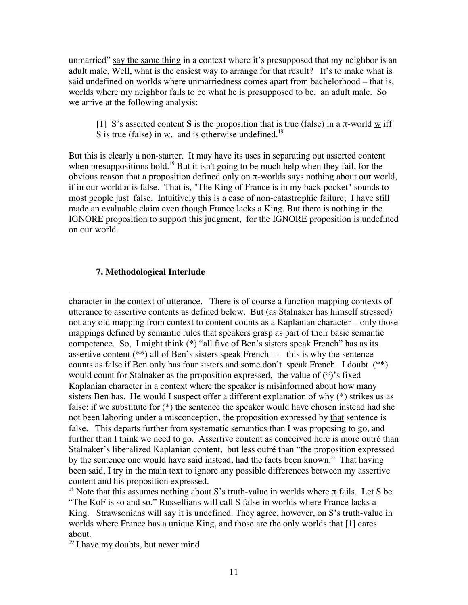unmarried" say the same thing in a context where it's presupposed that my neighbor is an adult male, Well, what is the easiest way to arrange for that result? It's to make what is said undefined on worlds where unmarriedness comes apart from bachelorhood – that is, worlds where my neighbor fails to be what he is presupposed to be, an adult male. So we arrive at the following analysis:

[1] S's asserted content S is the proposition that is true (false) in a  $\pi$ -world  $\underline{w}$  iff S is true (false) in w, and is otherwise undefined.<sup>18</sup>

But this is clearly a non-starter. It may have its uses in separating out asserted content when presuppositions hold.<sup>19</sup> But it isn't going to be much help when they fail, for the obvious reason that a proposition defined only on π-worlds says nothing about our world, if in our world  $\pi$  is false. That is, "The King of France is in my back pocket" sounds to most people just false. Intuitively this is a case of non-catastrophic failure; I have still made an evaluable claim even though France lacks a King. But there is nothing in the IGNORE proposition to support this judgment, for the IGNORE proposition is undefined on our world.

#### **7. Methodological Interlude**

 $\overline{a}$ character in the context of utterance. There is of course a function mapping contexts of utterance to assertive contents as defined below. But (as Stalnaker has himself stressed) not any old mapping from context to content counts as a Kaplanian character – only those mappings defined by semantic rules that speakers grasp as part of their basic semantic competence. So, I might think (\*) "all five of Ben's sisters speak French" has as its assertive content  $(**)$  all of Ben's sisters speak French  $-$  this is why the sentence counts as false if Ben only has four sisters and some don't speak French. I doubt (\*\*) would count for Stalnaker as the proposition expressed, the value of (\*)'s fixed Kaplanian character in a context where the speaker is misinformed about how many sisters Ben has. He would I suspect offer a different explanation of why (\*) strikes us as false: if we substitute for (\*) the sentence the speaker would have chosen instead had she not been laboring under a misconception, the proposition expressed by that sentence is false. This departs further from systematic semantics than I was proposing to go, and further than I think we need to go. Assertive content as conceived here is more outré than Stalnaker's liberalized Kaplanian content, but less outré than "the proposition expressed by the sentence one would have said instead, had the facts been known." That having been said, I try in the main text to ignore any possible differences between my assertive content and his proposition expressed.

<sup>18</sup> Note that this assumes nothing about S's truth-value in worlds where  $\pi$  fails. Let S be "The KoF is so and so." Russellians will call S false in worlds where France lacks a King. Strawsonians will say it is undefined. They agree, however, on S's truth-value in worlds where France has a unique King, and those are the only worlds that [1] cares about.

 $19$  I have my doubts, but never mind.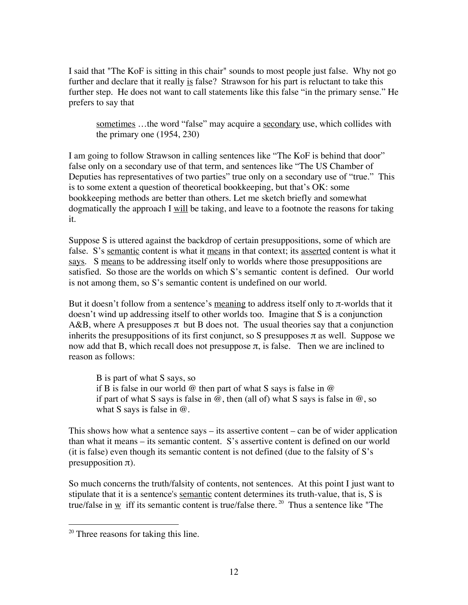I said that "The KoF is sitting in this chair" sounds to most people just false. Why not go further and declare that it really is false? Strawson for his part is reluctant to take this further step. He does not want to call statements like this false "in the primary sense." He prefers to say that

sometimes ...the word "false" may acquire a secondary use, which collides with the primary one (1954, 230)

I am going to follow Strawson in calling sentences like "The KoF is behind that door" false only on a secondary use of that term, and sentences like "The US Chamber of Deputies has representatives of two parties" true only on a secondary use of "true." This is to some extent a question of theoretical bookkeeping, but that's OK: some bookkeeping methods are better than others. Let me sketch briefly and somewhat dogmatically the approach I will be taking, and leave to a footnote the reasons for taking it.

Suppose S is uttered against the backdrop of certain presuppositions, some of which are false. S's semantic content is what it means in that context; its asserted content is what it says. S means to be addressing itself only to worlds where those presuppositions are satisfied. So those are the worlds on which S's semantic content is defined. Our world is not among them, so S's semantic content is undefined on our world.

But it doesn't follow from a sentence's meaning to address itself only to π-worlds that it doesn't wind up addressing itself to other worlds too. Imagine that S is a conjunction A&B, where A presupposes  $\pi$  but B does not. The usual theories say that a conjunction inherits the presuppositions of its first conjunct, so S presupposes  $\pi$  as well. Suppose we now add that B, which recall does not presuppose  $\pi$ , is false. Then we are inclined to reason as follows:

B is part of what S says, so if B is false in our world  $\omega$  then part of what S says is false in  $\omega$ if part of what S says is false in  $\omega$ , then (all of) what S says is false in  $\omega$ , so what S says is false in @.

This shows how what a sentence says  $-$  its assertive content  $-$  can be of wider application than what it means – its semantic content. S's assertive content is defined on our world (it is false) even though its semantic content is not defined (due to the falsity of  $S$ 's presupposition  $\pi$ ).

So much concerns the truth/falsity of contents, not sentences. At this point I just want to stipulate that it is a sentence's semantic content determines its truth-value, that is, S is true/false in  $\underline{w}$  iff its semantic content is true/false there.<sup>20</sup> Thus a sentence like "The

<sup>&</sup>lt;sup>20</sup> Three reasons for taking this line.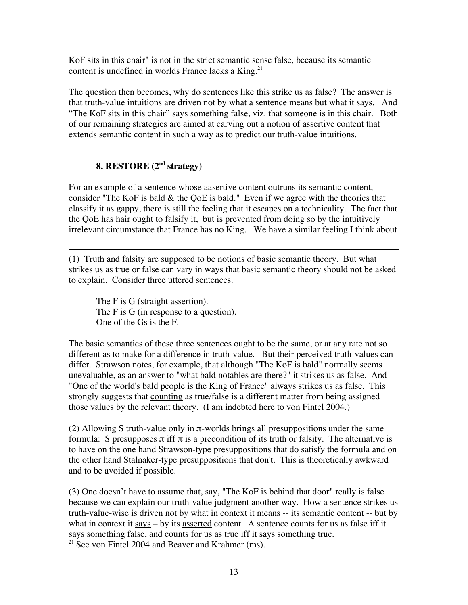KoF sits in this chair" is not in the strict semantic sense false, because its semantic content is undefined in worlds France lacks a King. $^{21}$ 

The question then becomes, why do sentences like this strike us as false? The answer is that truth-value intuitions are driven not by what a sentence means but what it says. And "The KoF sits in this chair" says something false, viz. that someone is in this chair. Both of our remaining strategies are aimed at carving out a notion of assertive content that extends semantic content in such a way as to predict our truth-value intuitions.

# **8. RESTORE (2nd strategy)**

For an example of a sentence whose aasertive content outruns its semantic content, consider "The KoF is bald & the QoE is bald." Even if we agree with the theories that classify it as gappy, there is still the feeling that it escapes on a technicality. The fact that the QoE has hair ought to falsify it, but is prevented from doing so by the intuitively irrelevant circumstance that France has no King. We have a similar feeling I think about

 $\overline{a}$ (1) Truth and falsity are supposed to be notions of basic semantic theory. But what strikes us as true or false can vary in ways that basic semantic theory should not be asked to explain. Consider three uttered sentences.

The F is G (straight assertion). The F is G (in response to a question). One of the Gs is the F.

The basic semantics of these three sentences ought to be the same, or at any rate not so different as to make for a difference in truth-value. But their perceived truth-values can differ. Strawson notes, for example, that although "The KoF is bald" normally seems unevaluable, as an answer to "what bald notables are there?" it strikes us as false. And "One of the world's bald people is the King of France" always strikes us as false. This strongly suggests that counting as true/false is a different matter from being assigned those values by the relevant theory. (I am indebted here to von Fintel 2004.)

(2) Allowing S truth-value only in  $\pi$ -worlds brings all presuppositions under the same formula: S presupposes  $\pi$  iff  $\pi$  is a precondition of its truth or falsity. The alternative is to have on the one hand Strawson-type presuppositions that do satisfy the formula and on the other hand Stalnaker-type presuppositions that don't. This is theoretically awkward and to be avoided if possible.

(3) One doesn't have to assume that, say, "The KoF is behind that door" really is false because we can explain our truth-value judgment another way. How a sentence strikes us truth-value-wise is driven not by what in context it means -- its semantic content -- but by what in context it  $says - by$  its asserted content. A sentence counts for us as false iff it says something false, and counts for us as true iff it says something true.

 $21$  See von Fintel 2004 and Beaver and Krahmer (ms).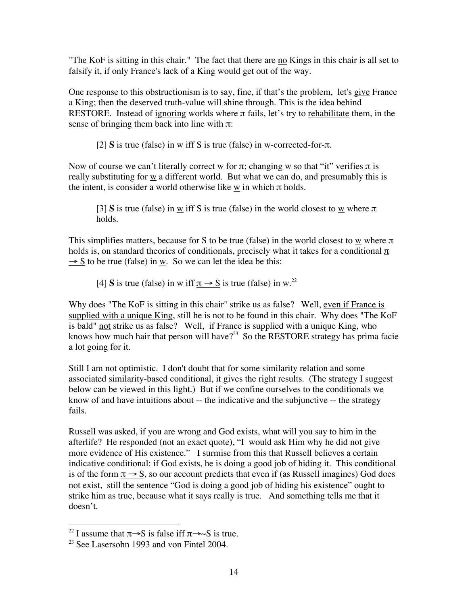"The KoF is sitting in this chair." The fact that there are no Kings in this chair is all set to falsify it, if only France's lack of a King would get out of the way.

One response to this obstructionism is to say, fine, if that's the problem, let's give France a King; then the deserved truth-value will shine through. This is the idea behind RESTORE. Instead of ignoring worlds where  $\pi$  fails, let's try to rehabilitate them, in the sense of bringing them back into line with  $\pi$ :

[2] **S** is true (false) in w iff S is true (false) in w-corrected-for-π.

Now of course we can't literally correct w for  $\pi$ ; changing w so that "it" verifies  $\pi$  is really substituting for  $\underline{w}$  a different world. But what we can do, and presumably this is the intent, is consider a world otherwise like w in which  $\pi$  holds.

[3] **S** is true (false) in w iff S is true (false) in the world closest to w where  $\pi$ holds.

This simplifies matters, because for S to be true (false) in the world closest to  $\underline{w}$  where  $\pi$ holds is, on standard theories of conditionals, precisely what it takes for a conditional  $\pi$  $\rightarrow$  S to be true (false) in w. So we can let the idea be this:

[4] **S** is true (false) in <u>w</u> iff  $\pi \rightarrow S$  is true (false) in <u>w</u>.<sup>22</sup>

Why does "The KoF is sitting in this chair" strike us as false? Well, even if France is supplied with a unique King, still he is not to be found in this chair. Why does "The KoF is bald" not strike us as false? Well, if France is supplied with a unique King, who knows how much hair that person will have? $^{23}$  So the RESTORE strategy has prima facie a lot going for it.

Still I am not optimistic. I don't doubt that for some similarity relation and some associated similarity-based conditional, it gives the right results. (The strategy I suggest below can be viewed in this light.) But if we confine ourselves to the conditionals we know of and have intuitions about -- the indicative and the subjunctive -- the strategy fails.

Russell was asked, if you are wrong and God exists, what will you say to him in the afterlife? He responded (not an exact quote), "I would ask Him why he did not give more evidence of His existence." I surmise from this that Russell believes a certain indicative conditional: if God exists, he is doing a good job of hiding it. This conditional is of the form  $\pi \rightarrow S$ , so our account predicts that even if (as Russell imagines) God does not exist, still the sentence "God is doing a good job of hiding his existence" ought to strike him as true, because what it says really is true. And something tells me that it doesn't.

<sup>&</sup>lt;sup>22</sup> I assume that  $\pi \rightarrow S$  is false iff  $\pi \rightarrow \sim S$  is true.

 $2<sup>23</sup>$  See Lasersohn 1993 and von Fintel 2004.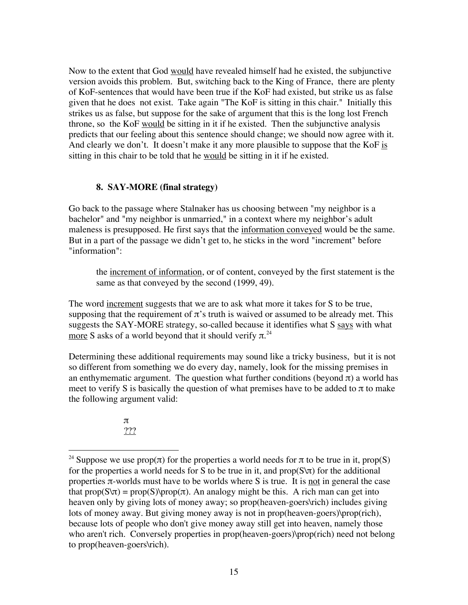Now to the extent that God would have revealed himself had he existed, the subjunctive version avoids this problem. But, switching back to the King of France, there are plenty of KoF-sentences that would have been true if the KoF had existed, but strike us as false given that he does not exist. Take again "The KoF is sitting in this chair." Initially this strikes us as false, but suppose for the sake of argument that this is the long lost French throne, so the KoF would be sitting in it if he existed. Then the subjunctive analysis predicts that our feeling about this sentence should change; we should now agree with it. And clearly we don't. It doesn't make it any more plausible to suppose that the KoF is sitting in this chair to be told that he would be sitting in it if he existed.

# **8. SAY-MORE (final strategy)**

Go back to the passage where Stalnaker has us choosing between "my neighbor is a bachelor" and "my neighbor is unmarried," in a context where my neighbor's adult maleness is presupposed. He first says that the information conveyed would be the same. But in a part of the passage we didn't get to, he sticks in the word "increment" before "information":

the increment of information, or of content, conveyed by the first statement is the same as that conveyed by the second (1999, 49).

The word increment suggests that we are to ask what more it takes for S to be true, supposing that the requirement of  $\pi$ 's truth is waived or assumed to be already met. This suggests the SAY-MORE strategy, so-called because it identifies what S says with what <u>more</u> S asks of a world beyond that it should verify  $\pi$ .<sup>24</sup>

Determining these additional requirements may sound like a tricky business, but it is not so different from something we do every day, namely, look for the missing premises in an enthymematic argument. The question what further conditions (beyond  $\pi$ ) a world has meet to verify S is basically the question of what premises have to be added to  $\pi$  to make the following argument valid:

> π ???

<sup>&</sup>lt;sup>24</sup> Suppose we use  $prop(\pi)$  for the properties a world needs for  $\pi$  to be true in it, prop(S) for the properties a world needs for S to be true in it, and  $prop(S\pi)$  for the additional properties π-worlds must have to be worlds where S is true. It is not in general the case that  $prop(S\lor t) = prop(S)\text{prop}(\pi)$ . An analogy might be this. A rich man can get into heaven only by giving lots of money away; so prop(heaven-goers\rich) includes giving lots of money away. But giving money away is not in prop(heaven-goers)\prop(rich), because lots of people who don't give money away still get into heaven, namely those who aren't rich. Conversely properties in prop(heaven-goers)\prop(rich) need not belong to prop(heaven-goers\rich).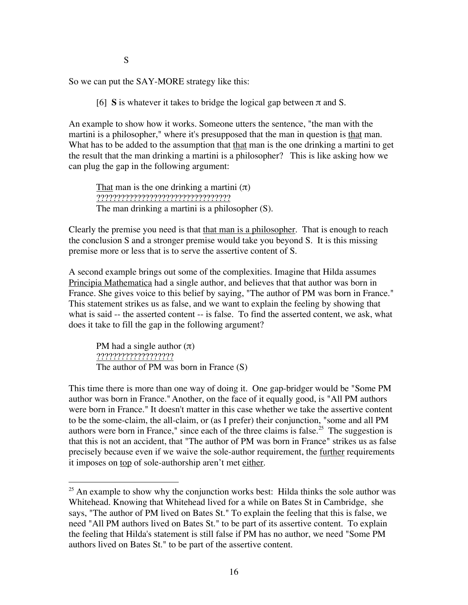S

So we can put the SAY-MORE strategy like this:

[6] **S** is whatever it takes to bridge the logical gap between  $\pi$  and S.

An example to show how it works. Someone utters the sentence, "the man with the martini is a philosopher," where it's presupposed that the man in question is that man. What has to be added to the assumption that that man is the one drinking a martini to get the result that the man drinking a martini is a philosopher? This is like asking how we can plug the gap in the following argument:

That man is the one drinking a martini  $(\pi)$ ????????????????????????????????? The man drinking a martini is a philosopher (S).

Clearly the premise you need is that that man is a philosopher. That is enough to reach the conclusion S and a stronger premise would take you beyond S. It is this missing premise more or less that is to serve the assertive content of S.

A second example brings out some of the complexities. Imagine that Hilda assumes Principia Mathematica had a single author, and believes that that author was born in France. She gives voice to this belief by saying, "The author of PM was born in France." This statement strikes us as false, and we want to explain the feeling by showing that what is said -- the asserted content -- is false. To find the asserted content, we ask, what does it take to fill the gap in the following argument?

PM had a single author  $(\pi)$ ??????????????????? The author of PM was born in France (S)

This time there is more than one way of doing it. One gap-bridger would be "Some PM author was born in France."Another, on the face of it equally good, is "All PM authors were born in France." It doesn't matter in this case whether we take the assertive content to be the some-claim, the all-claim, or (as I prefer) their conjunction, "some and all PM authors were born in France," since each of the three claims is false.<sup>25</sup> The suggestion is that this is not an accident, that "The author of PM was born in France" strikes us as false precisely because even if we waive the sole-author requirement, the <u>further</u> requirements it imposes on top of sole-authorship aren't met either.

<sup>&</sup>lt;sup>25</sup> An example to show why the conjunction works best: Hilda thinks the sole author was Whitehead. Knowing that Whitehead lived for a while on Bates St in Cambridge, she says, "The author of PM lived on Bates St." To explain the feeling that this is false, we need "All PM authors lived on Bates St." to be part of its assertive content. To explain the feeling that Hilda's statement is still false if PM has no author, we need "Some PM authors lived on Bates St." to be part of the assertive content.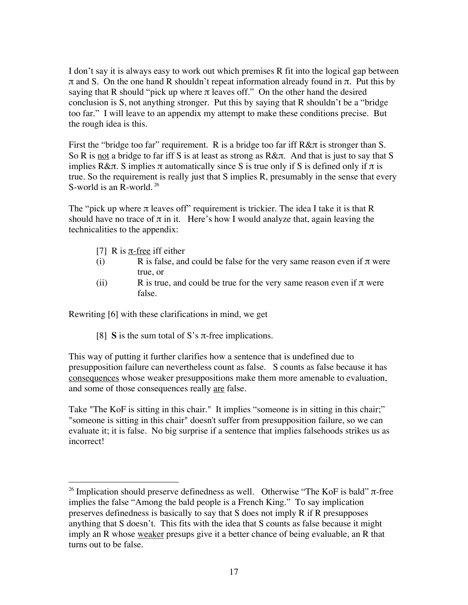I don't say it is always easy to work out which premises R fit into the logical gap between π and S. On the one hand R shouldn't repeat information already found in π. Put this by saying that R should "pick up where  $\pi$  leaves off." On the other hand the desired conclusion is S, not anything stronger. Put this by saying that R shouldn't be a "bridge too far." I will leave to an appendix my attempt to make these conditions precise. But the rough idea is this.

First the "bridge too far" requirement. R is a bridge too far iff R&π is stronger than S. So R is not a bridge to far iff S is at least as strong as  $R\&\pi$ . And that is just to say that S implies R& $\pi$ . S implies  $\pi$  automatically since S is true only if S is defined only if  $\pi$  is true. So the requirement is really just that S implies R, presumably in the sense that every S-world is an R-world. <sup>26</sup>

The "pick up where  $\pi$  leaves off" requirement is trickier. The idea I take it is that R should have no trace of  $\pi$  in it. Here's how I would analyze that, again leaving the technicalities to the appendix:

- [7] R is  $\pi$ -free iff either
- (i) R is false, and could be false for the very same reason even if  $\pi$  were true, or
- (ii) R is true, and could be true for the very same reason even if  $\pi$  were false.

Rewriting [6] with these clarifications in mind, we get

[8] **S** is the sum total of S's  $\pi$ -free implications.

This way of putting it further clarifies how a sentence that is undefined due to presupposition failure can nevertheless count as false. S counts as false because it has consequences whose weaker presuppositions make them more amenable to evaluation, and some of those consequences really are false.

Take "The KoF is sitting in this chair." It implies "someone is in sitting in this chair;" "someone is sitting in this chair" doesn't suffer from presupposition failure, so we can evaluate it; it is false. No big surprise if a sentence that implies falsehoods strikes us as incorrect!

 <sup>26</sup> Implication should preserve definedness as well. Otherwise "The KoF is bald" π-free implies the false "Among the bald people is a French King." To say implication preserves definedness is basically to say that S does not imply R if R presupposes anything that S doesn't. This fits with the idea that S counts as false because it might imply an R whose weaker presups give it a better chance of being evaluable, an R that turns out to be false.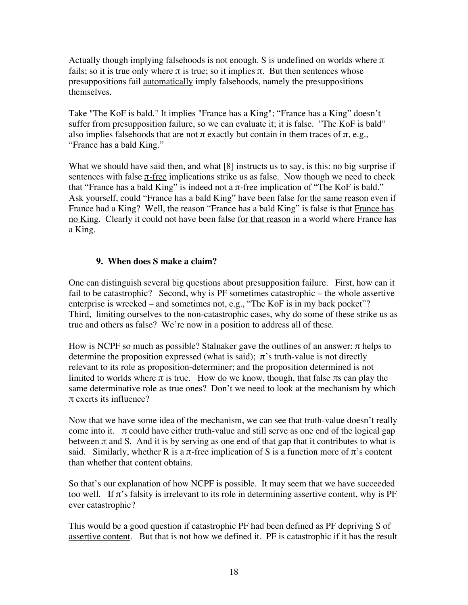Actually though implying falsehoods is not enough. S is undefined on worlds where  $\pi$ fails; so it is true only where  $\pi$  is true; so it implies  $\pi$ . But then sentences whose presuppositions fail automatically imply falsehoods, namely the presuppositions themselves.

Take "The KoF is bald." It implies "France has a King"; "France has a King" doesn't suffer from presupposition failure, so we can evaluate it; it is false. "The KoF is bald" also implies falsehoods that are not  $\pi$  exactly but contain in them traces of  $\pi$ , e.g., "France has a bald King."

What we should have said then, and what [8] instructs us to say, is this: no big surprise if sentences with false  $\pi$ -free implications strike us as false. Now though we need to check that "France has a bald King" is indeed not a π-free implication of "The KoF is bald." Ask yourself, could "France has a bald King" have been false for the same reason even if France had a King? Well, the reason "France has a bald King" is false is that France has no King. Clearly it could not have been false for that reason in a world where France has a King.

# **9. When does S make a claim?**

One can distinguish several big questions about presupposition failure. First, how can it fail to be catastrophic? Second, why is PF sometimes catastrophic – the whole assertive enterprise is wrecked – and sometimes not, e.g., "The KoF is in my back pocket"? Third, limiting ourselves to the non-catastrophic cases, why do some of these strike us as true and others as false? We're now in a position to address all of these.

How is NCPF so much as possible? Stalnaker gave the outlines of an answer:  $\pi$  helps to determine the proposition expressed (what is said);  $\pi$ 's truth-value is not directly relevant to its role as proposition-determiner; and the proposition determined is not limited to worlds where  $\pi$  is true. How do we know, though, that false  $\pi$ s can play the same determinative role as true ones? Don't we need to look at the mechanism by which π exerts its influence?

Now that we have some idea of the mechanism, we can see that truth-value doesn't really come into it.  $\pi$  could have either truth-value and still serve as one end of the logical gap between  $\pi$  and S. And it is by serving as one end of that gap that it contributes to what is said. Similarly, whether R is a  $\pi$ -free implication of S is a function more of  $\pi$ 's content than whether that content obtains.

So that's our explanation of how NCPF is possible. It may seem that we have succeeded too well. If  $\pi$ 's falsity is irrelevant to its role in determining assertive content, why is PF ever catastrophic?

This would be a good question if catastrophic PF had been defined as PF depriving S of assertive content. But that is not how we defined it. PF is catastrophic if it has the result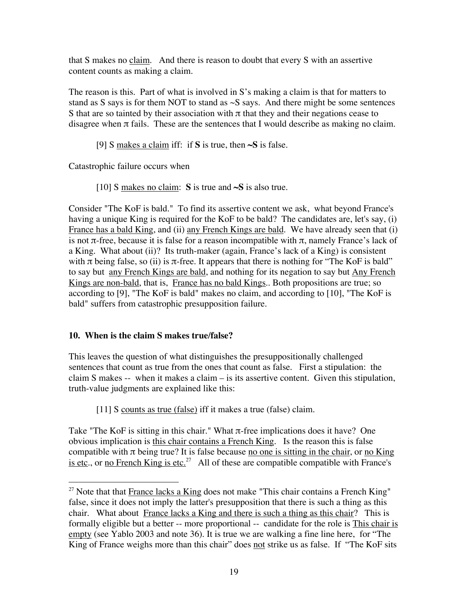that S makes no claim. And there is reason to doubt that every S with an assertive content counts as making a claim.

The reason is this. Part of what is involved in S's making a claim is that for matters to stand as S says is for them NOT to stand as  $\sim$ S says. And there might be some sentences S that are so tainted by their association with  $\pi$  that they and their negations cease to disagree when  $\pi$  fails. These are the sentences that I would describe as making no claim.

[9] S makes a claim iff: if **S** is true, then **~S** is false.

Catastrophic failure occurs when

[10] S makes no claim: **S** is true and **~S** is also true.

Consider "The KoF is bald." To find its assertive content we ask, what beyond France's having a unique King is required for the KoF to be bald? The candidates are, let's say, (i) France has a bald King, and (ii) any French Kings are bald. We have already seen that (i) is not  $\pi$ -free, because it is false for a reason incompatible with  $\pi$ , namely France's lack of a King. What about (ii)? Its truth-maker (again, France's lack of a King) is consistent with  $\pi$  being false, so (ii) is  $\pi$ -free. It appears that there is nothing for "The KoF is bald" to say but any French Kings are bald, and nothing for its negation to say but Any French Kings are non-bald, that is, France has no bald Kings.. Both propositions are true; so according to [9], "The KoF is bald" makes no claim, and according to [10], "The KoF is bald" suffers from catastrophic presupposition failure.

# **10. When is the claim S makes true/false?**

This leaves the question of what distinguishes the presuppositionally challenged sentences that count as true from the ones that count as false. First a stipulation: the claim S makes -- when it makes a claim – is its assertive content. Given this stipulation, truth-value judgments are explained like this:

[11] S counts as true (false) iff it makes a true (false) claim.

Take "The KoF is sitting in this chair." What  $\pi$ -free implications does it have? One obvious implication is this chair contains a French King. Is the reason this is false compatible with  $\pi$  being true? It is false because no one is sitting in the chair, or no King is etc., or no French King is etc.<sup>27</sup> All of these are compatible compatible with France's

<sup>&</sup>lt;sup>27</sup> Note that that  $France lacks a King does not make "This chair contains a French King"$ </u> false, since it does not imply the latter's presupposition that there is such a thing as this chair. What about France lacks a King and there is such a thing as this chair? This is formally eligible but a better -- more proportional -- candidate for the role is This chair is empty (see Yablo 2003 and note 36). It is true we are walking a fine line here, for "The King of France weighs more than this chair" does not strike us as false. If "The KoF sits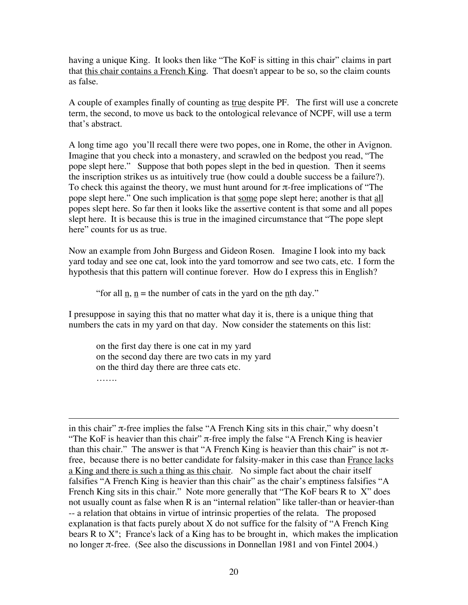having a unique King. It looks then like "The KoF is sitting in this chair" claims in part that this chair contains a French King. That doesn't appear to be so, so the claim counts as false.

A couple of examples finally of counting as true despite PF. The first will use a concrete term, the second, to move us back to the ontological relevance of NCPF, will use a term that's abstract.

A long time ago you'll recall there were two popes, one in Rome, the other in Avignon. Imagine that you check into a monastery, and scrawled on the bedpost you read, "The pope slept here." Suppose that both popes slept in the bed in question. Then it seems the inscription strikes us as intuitively true (how could a double success be a failure?). To check this against the theory, we must hunt around for  $\pi$ -free implications of "The pope slept here." One such implication is that some pope slept here; another is that all popes slept here. So far then it looks like the assertive content is that some and all popes slept here. It is because this is true in the imagined circumstance that "The pope slept here" counts for us as true.

Now an example from John Burgess and Gideon Rosen. Imagine I look into my back yard today and see one cat, look into the yard tomorrow and see two cats, etc. I form the hypothesis that this pattern will continue forever. How do I express this in English?

"for all  $n, n$  = the number of cats in the yard on the nth day."

I presuppose in saying this that no matter what day it is, there is a unique thing that numbers the cats in my yard on that day. Now consider the statements on this list:

on the first day there is one cat in my yard on the second day there are two cats in my yard on the third day there are three cats etc. ……

 $\overline{a}$ 

in this chair" π-free implies the false "A French King sits in this chair," why doesn't "The KoF is heavier than this chair"  $\pi$ -free imply the false "A French King is heavier than this chair." The answer is that "A French King is heavier than this chair" is not  $\pi$ free, because there is no better candidate for falsity-maker in this case than France lacks a King and there is such a thing as this chair. No simple fact about the chair itself falsifies "A French King is heavier than this chair" as the chair's emptiness falsifies "A French King sits in this chair." Note more generally that "The KoF bears R to X" does not usually count as false when R is an "internal relation" like taller-than or heavier-than -- a relation that obtains in virtue of intrinsic properties of the relata. The proposed explanation is that facts purely about  $X$  do not suffice for the falsity of "A French King" bears R to  $X^{\prime\prime}$ ; France's lack of a King has to be brought in, which makes the implication no longer π-free. (See also the discussions in Donnellan 1981 and von Fintel 2004.)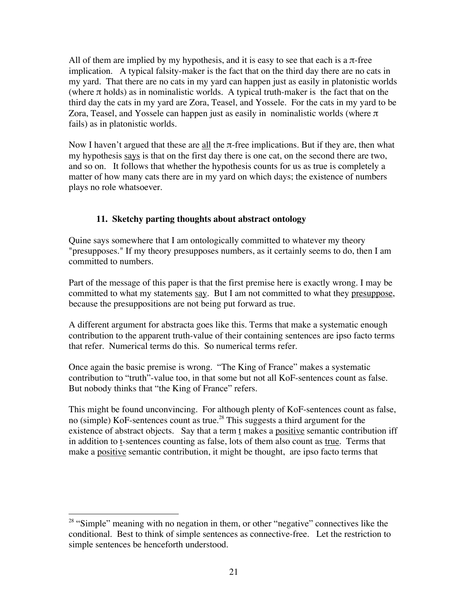All of them are implied by my hypothesis, and it is easy to see that each is a  $\pi$ -free implication. A typical falsity-maker is the fact that on the third day there are no cats in my yard. That there are no cats in my yard can happen just as easily in platonistic worlds (where  $\pi$  holds) as in nominalistic worlds. A typical truth-maker is the fact that on the third day the cats in my yard are Zora, Teasel, and Yossele. For the cats in my yard to be Zora, Teasel, and Yossele can happen just as easily in nominalistic worlds (where  $\pi$ fails) as in platonistic worlds.

Now I haven't argued that these are all the  $\pi$ -free implications. But if they are, then what my hypothesis says is that on the first day there is one cat, on the second there are two, and so on. It follows that whether the hypothesis counts for us as true is completely a matter of how many cats there are in my yard on which days; the existence of numbers plays no role whatsoever.

# **11. Sketchy parting thoughts about abstract ontology**

Quine says somewhere that I am ontologically committed to whatever my theory "presupposes." If my theory presupposes numbers, as it certainly seems to do, then I am committed to numbers.

Part of the message of this paper is that the first premise here is exactly wrong. I may be committed to what my statements say. But I am not committed to what they presuppose, because the presuppositions are not being put forward as true.

A different argument for abstracta goes like this. Terms that make a systematic enough contribution to the apparent truth-value of their containing sentences are ipso facto terms that refer. Numerical terms do this. So numerical terms refer.

Once again the basic premise is wrong. "The King of France" makes a systematic contribution to "truth"-value too, in that some but not all KoF-sentences count as false. But nobody thinks that "the King of France" refers.

This might be found unconvincing. For although plenty of KoF-sentences count as false, no (simple) KoF-sentences count as true.<sup>28</sup> This suggests a third argument for the existence of abstract objects. Say that a term t makes a positive semantic contribution iff in addition to t-sentences counting as false, lots of them also count as true. Terms that make a positive semantic contribution, it might be thought, are ipso facto terms that

<sup>&</sup>lt;sup>28</sup> "Simple" meaning with no negation in them, or other "negative" connectives like the conditional. Best to think of simple sentences as connective-free. Let the restriction to simple sentences be henceforth understood.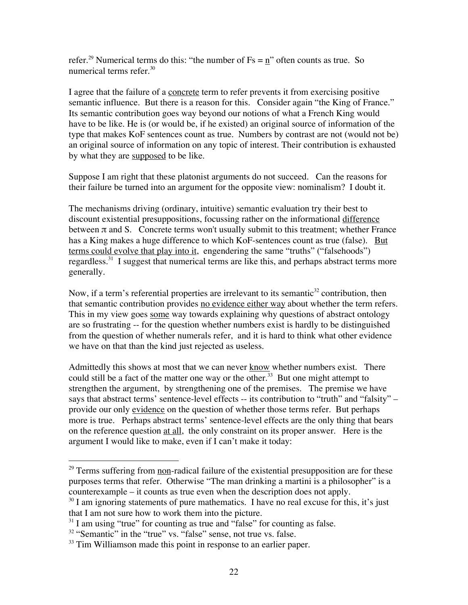refer.<sup>29</sup> Numerical terms do this: "the number of  $Fs = \underline{n}$ " often counts as true. So numerical terms refer. $30<sup>30</sup>$ 

I agree that the failure of a concrete term to refer prevents it from exercising positive semantic influence. But there is a reason for this. Consider again "the King of France." Its semantic contribution goes way beyond our notions of what a French King would have to be like. He is (or would be, if he existed) an original source of information of the type that makes KoF sentences count as true. Numbers by contrast are not (would not be) an original source of information on any topic of interest. Their contribution is exhausted by what they are supposed to be like.

Suppose I am right that these platonist arguments do not succeed. Can the reasons for their failure be turned into an argument for the opposite view: nominalism? I doubt it.

The mechanisms driving (ordinary, intuitive) semantic evaluation try their best to discount existential presuppositions, focussing rather on the informational difference between  $\pi$  and S. Concrete terms won't usually submit to this treatment; whether France has a King makes a huge difference to which KoF-sentences count as true (false). But terms could evolve that play into it, engendering the same "truths" ("falsehoods") regardless.<sup>31</sup> I suggest that numerical terms are like this, and perhaps abstract terms more generally.

Now, if a term's referential properties are irrelevant to its semantic<sup>32</sup> contribution, then that semantic contribution provides no evidence either way about whether the term refers. This in my view goes some way towards explaining why questions of abstract ontology are so frustrating -- for the question whether numbers exist is hardly to be distinguished from the question of whether numerals refer, and it is hard to think what other evidence we have on that than the kind just rejected as useless.

Admittedly this shows at most that we can never know whether numbers exist. There could still be a fact of the matter one way or the other.<sup>33</sup> But one might attempt to strengthen the argument, by strengthening one of the premises. The premise we have says that abstract terms' sentence-level effects -- its contribution to "truth" and "falsity" – provide our only evidence on the question of whether those terms refer. But perhaps more is true. Perhaps abstract terms' sentence-level effects are the only thing that bears on the reference question at all, the only constraint on its proper answer. Here is the argument I would like to make, even if I can't make it today:

<sup>&</sup>lt;sup>29</sup> Terms suffering from <u>non</u>-radical failure of the existential presupposition are for these purposes terms that refer. Otherwise "The man drinking a martini is a philosopher" is a counterexample – it counts as true even when the description does not apply.

 $30$  I am ignoring statements of pure mathematics. I have no real excuse for this, it's just that I am not sure how to work them into the picture.

<sup>&</sup>lt;sup>31</sup> I am using "true" for counting as true and "false" for counting as false.

 $32$  "Semantic" in the "true" vs. "false" sense, not true vs. false.

 $33$  Tim Williamson made this point in response to an earlier paper.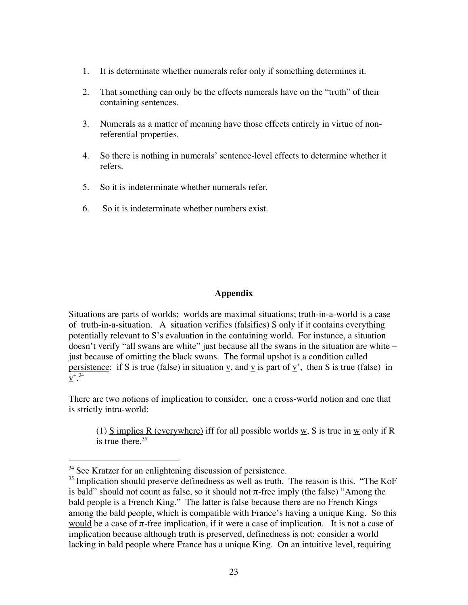- 1. It is determinate whether numerals refer only if something determines it.
- 2. That something can only be the effects numerals have on the "truth" of their containing sentences.
- 3. Numerals as a matter of meaning have those effects entirely in virtue of nonreferential properties.
- 4. So there is nothing in numerals' sentence-level effects to determine whether it refers.
- 5. So it is indeterminate whether numerals refer.
- 6. So it is indeterminate whether numbers exist.

### **Appendix**

Situations are parts of worlds; worlds are maximal situations; truth-in-a-world is a case of truth-in-a-situation. A situation verifies (falsifies) S only if it contains everything potentially relevant to S's evaluation in the containing world. For instance, a situation doesn't verify "all swans are white" just because all the swans in the situation are white – just because of omitting the black swans. The formal upshot is a condition called persistence: if S is true (false) in situation  $\underline{v}$ , and  $\underline{v}$  is part of  $\underline{v}^*$ , then S is true (false) in  ${\bf \underline{v}}^{*,34}$ 

There are two notions of implication to consider, one a cross-world notion and one that is strictly intra-world:

(1) S implies R (everywhere) iff for all possible worlds w, S is true in w only if R is true there. $35$ 

<sup>&</sup>lt;sup>34</sup> See Kratzer for an enlightening discussion of persistence.

<sup>&</sup>lt;sup>35</sup> Implication should preserve definedness as well as truth. The reason is this. "The KoF is bald" should not count as false, so it should not  $\pi$ -free imply (the false) "Among the bald people is a French King." The latter is false because there are no French Kings among the bald people, which is compatible with France's having a unique King. So this would be a case of  $\pi$ -free implication, if it were a case of implication. It is not a case of implication because although truth is preserved, definedness is not: consider a world lacking in bald people where France has a unique King. On an intuitive level, requiring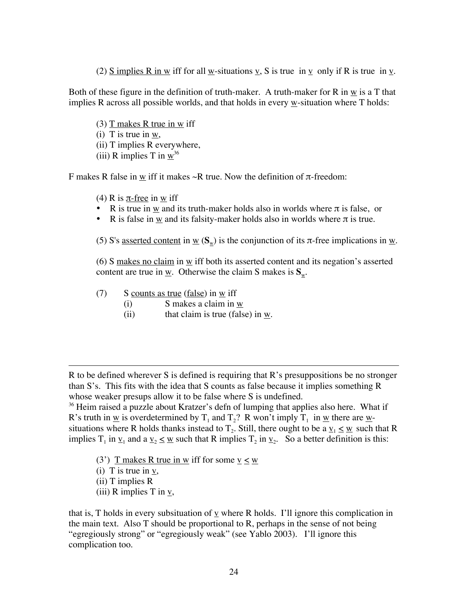(2) S implies R in w iff for all w-situations v, S is true in v only if R is true in v.

Both of these figure in the definition of truth-maker. A truth-maker for R in w is a T that implies R across all possible worlds, and that holds in every w-situation where T holds:

(3)  $T$  makes R true in w iff  $(i)$  T is true in w, (ii) T implies R everywhere, (iii) R implies T in  $w^{36}$ 

F makes R false in  $\underline{w}$  iff it makes  $\sim$ R true. Now the definition of  $\pi$ -freedom:

- (4) R is  $\pi$ -free in w iff
- R is true in  $\underline{w}$  and its truth-maker holds also in worlds where  $\pi$  is false, or
- R is false in  $\underline{w}$  and its falsity-maker holds also in worlds where  $\pi$  is true.

(5) S's <u>asserted content</u> in  $\underline{w}$  ( $S_w$ ) is the conjunction of its  $\pi$ -free implications in  $\underline{w}$ .

(6) S makes no claim in  $\underline{w}$  iff both its asserted content and its negation's asserted content are true in  $\underline{w}$ . Otherwise the claim S makes is  $S_w$ .

- (7) S counts as true (false) in  $\underline{w}$  iff
	- (i) S makes a claim in w
	- (ii) that claim is true (false) in w.

R to be defined wherever S is defined is requiring that R's presuppositions be no stronger than S's. This fits with the idea that S counts as false because it implies something R whose weaker presups allow it to be false where S is undefined.

 $36$  Heim raised a puzzle about Kratzer's defn of lumping that applies also here. What if R's truth in <u>w</u> is overdetermined by T<sub>1</sub> and T<sub>2</sub>? R won't imply T<sub>1</sub> in <u>w</u> there are <u>w</u>situations where R holds thanks instead to  $T_2$ . Still, there ought to be a  $\underline{v}_1 \leq \underline{w}$  such that R implies  $T_1$  in  $\underline{v}_1$  and a  $\underline{v}_2 \le \underline{w}$  such that R implies  $T_2$  in  $\underline{v}_2$ . So a better definition is this:

- (3') T makes R true in w iff for some  $v < w$
- (i) T is true in  $\underline{v}$ ,
- (ii) T implies R

 $\overline{a}$ 

(iii) R implies T in v,

that is, T holds in every subsituation of  $\underline{v}$  where R holds. I'll ignore this complication in the main text. Also T should be proportional to R, perhaps in the sense of not being "egregiously strong" or "egregiously weak" (see Yablo 2003). I'll ignore this complication too.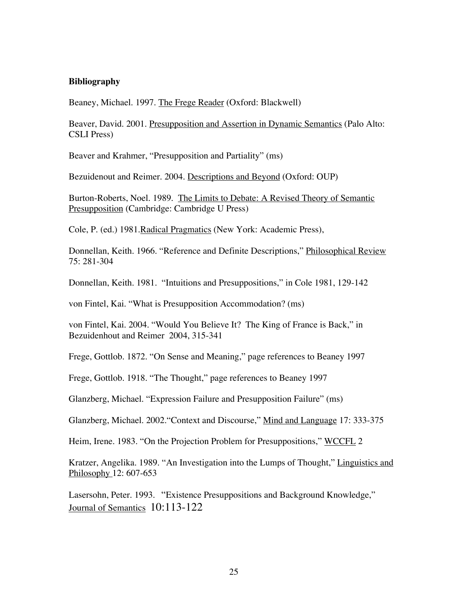### **Bibliography**

Beaney, Michael. 1997. The Frege Reader (Oxford: Blackwell)

Beaver, David. 2001. Presupposition and Assertion in Dynamic Semantics (Palo Alto: CSLI Press)

Beaver and Krahmer, "Presupposition and Partiality" (ms)

Bezuidenout and Reimer. 2004. Descriptions and Beyond (Oxford: OUP)

Burton-Roberts, Noel. 1989. The Limits to Debate: A Revised Theory of Semantic Presupposition (Cambridge: Cambridge U Press)

Cole, P. (ed.) 1981.Radical Pragmatics (New York: Academic Press),

Donnellan, Keith. 1966. "Reference and Definite Descriptions," Philosophical Review 75: 281-304

Donnellan, Keith. 1981. "Intuitions and Presuppositions," in Cole 1981, 129-142

von Fintel, Kai. "What is Presupposition Accommodation? (ms)

von Fintel, Kai. 2004. "Would You Believe It? The King of France is Back," in Bezuidenhout and Reimer 2004, 315-341

Frege, Gottlob. 1872. "On Sense and Meaning," page references to Beaney 1997

Frege, Gottlob. 1918. "The Thought," page references to Beaney 1997

Glanzberg, Michael. "Expression Failure and Presupposition Failure" (ms)

Glanzberg, Michael. 2002."Context and Discourse," Mind and Language 17: 333-375

Heim, Irene. 1983. "On the Projection Problem for Presuppositions," WCCFL 2

Kratzer, Angelika. 1989. "An Investigation into the Lumps of Thought," Linguistics and Philosophy 12: 607-653

Lasersohn, Peter. 1993. "Existence Presuppositions and Background Knowledge," Journal of Semantics 10:113-122